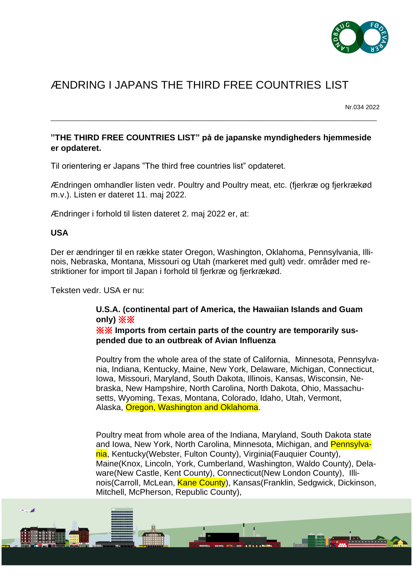

## ÆNDRING I JAPANS THE THIRD FREE COUNTRIES LIST

Nr.034 2022

## **"THE THIRD FREE COUNTRIES LIST" på de japanske myndigheders hjemmeside er opdateret.**

\_\_\_\_\_\_\_\_\_\_\_\_\_\_\_\_\_\_\_\_\_\_\_\_\_\_\_\_\_\_\_\_\_\_\_\_\_\_\_\_\_\_\_\_\_\_\_\_\_\_\_\_\_\_\_\_\_\_\_\_\_\_\_\_\_\_\_\_\_\_\_\_\_\_\_\_\_\_\_\_\_\_\_\_\_\_\_\_\_\_\_\_\_\_

Til orientering er Japans "The third free countries list" opdateret.

Ændringen omhandler listen vedr. Poultry and Poultry meat, etc. (fjerkræ og fjerkrækød m.v.). Listen er dateret 11. maj 2022.

Ændringer i forhold til listen dateret 2. maj 2022 er, at:

## **USA**

Der er ændringer til en række stater Oregon, Washington, Oklahoma, Pennsylvania, Illinois, Nebraska, Montana, Missouri og Utah (markeret med gult) vedr. områder med restriktioner for import til Japan i forhold til fjerkræ og fjerkrækød.

Teksten vedr. USA er nu:

## **U.S.A. (continental part of America, the Hawaiian Islands and Guam only)** ※※

※※ **Imports from certain parts of the country are temporarily suspended due to an outbreak of Avian Influenza**

Poultry from the whole area of the state of California, Minnesota, Pennsylvania, Indiana, Kentucky, Maine, New York, Delaware, Michigan, Connecticut, Iowa, Missouri, Maryland, South Dakota, Illinois, Kansas, Wisconsin, Nebraska, New Hampshire, North Carolina, North Dakota, Ohio, Massachusetts, Wyoming, Texas, Montana, Colorado, Idaho, Utah, Vermont, Alaska, Oregon, Washington and Oklahoma.

Poultry meat from whole area of the Indiana, Maryland, South Dakota state and Iowa, New York, North Carolina, Minnesota, Michigan, and Pennsylvania, Kentucky(Webster, Fulton County), Virginia(Fauguier County), Maine(Knox, Lincoln, York, Cumberland, Washington, Waldo County), Delaware(New Castle, Kent County), Connecticut(New London County), Illinois(Carroll, McLean, Kane County), Kansas(Franklin, Sedgwick, Dickinson, Mitchell, McPherson, Republic County),